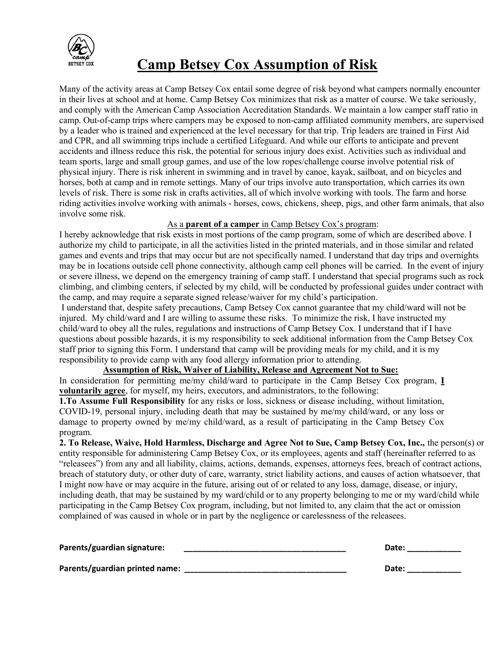

## Camp Betsey Cox Assumption of Risk

Many of the activity areas at Camp Betsey Cox entail some degree of risk beyond what campers normally encounter in their lives at school and at home. Camp Betsey Cox minimizes that risk as a matter of course. We take seriously, and comply with the American Camp Association Accreditation Standards. We maintain a low camper staff ratio in camp. Out-of-camp trips where campers may be exposed to non-camp affiliated community members, are supervised by a leader who is trained and experienced at the level necessary for that trip. Trip leaders are trained in First Aid and CPR, and all swimming trips include a certified Lifeguard. And while our efforts to anticipate and prevent accidents and illness reduce this risk, the potential for serious injury does exist. Activities such as individual and team sports, large and small group games, and use of the low ropes/challenge course involve potential risk of physical injury. There is risk inherent in swimming and in travel by canoe, kayak, sailboat, and on bicycles and horses, both at camp and in remote settings. Many of our trips involve auto transportation, which carries its own levels of risk. There is some risk in crafts activities, all of which involve working with tools. The farm and horse riding activities involve working with animals - horses, cows, chickens, sheep, pigs, and other farm animals, that also involve some risk.

### As a parent of a camper in Camp Betsey Cox's program:

I hereby acknowledge that risk exists in most portions of the camp program, some of which are described above. I authorize my child to participate, in all the activities listed in the printed materials, and in those similar and related games and events and trips that may occur but are not specifically named. I understand that day trips and overnights may be in locations outside cell phone connectivity, although camp cell phones will be carried. In the event of injury or severe illness, we depend on the emergency training of camp staff. I understand that special programs such as rock climbing, and climbing centers, if selected by my child, will be conducted by professional guides under contract with the camp, and may require a separate signed release/waiver for my child's participation.

 I understand that, despite safety precautions, Camp Betsey Cox cannot guarantee that my child/ward will not be injured. My child/ward and I are willing to assume these risks. To minimize the risk, I have instructed my child/ward to obey all the rules, regulations and instructions of Camp Betsey Cox. I understand that if I have questions about possible hazards, it is my responsibility to seek additional information from the Camp Betsey Cox staff prior to signing this Form. I understand that camp will be providing meals for my child, and it is my responsibility to provide camp with any food allergy information prior to attending.

### Assumption of Risk, Waiver of Liability, Release and Agreement Not to Sue:

In consideration for permitting me/my child/ward to participate in the Camp Betsey Cox program, I voluntarily agree, for myself, my heirs, executors, and administrators, to the following:

1.To Assume Full Responsibility for any risks or loss, sickness or disease including, without limitation, COVID-19, personal injury, including death that may be sustained by me/my child/ward, or any loss or damage to property owned by me/my child/ward, as a result of participating in the Camp Betsey Cox program.

2. To Release, Waive, Hold Harmless, Discharge and Agree Not to Sue, Camp Betsey Cox, Inc., the person(s) or entity responsible for administering Camp Betsey Cox, or its employees, agents and staff (hereinafter referred to as "releasees") from any and all liability, claims, actions, demands, expenses, attorneys fees, breach of contract actions, breach of statutory duty, or other duty of care, warranty, strict liability actions, and causes of action whatsoever, that I might now have or may acquire in the future, arising out of or related to any loss, damage, disease, or injury, including death, that may be sustained by my ward/child or to any property belonging to me or my ward/child while participating in the Camp Betsey Cox program, including, but not limited to, any claim that the act or omission complained of was caused in whole or in part by the negligence or carelessness of the releasees.

| Parents/guardian signature:    | Date: |
|--------------------------------|-------|
| Parents/guardian printed name: | Date: |